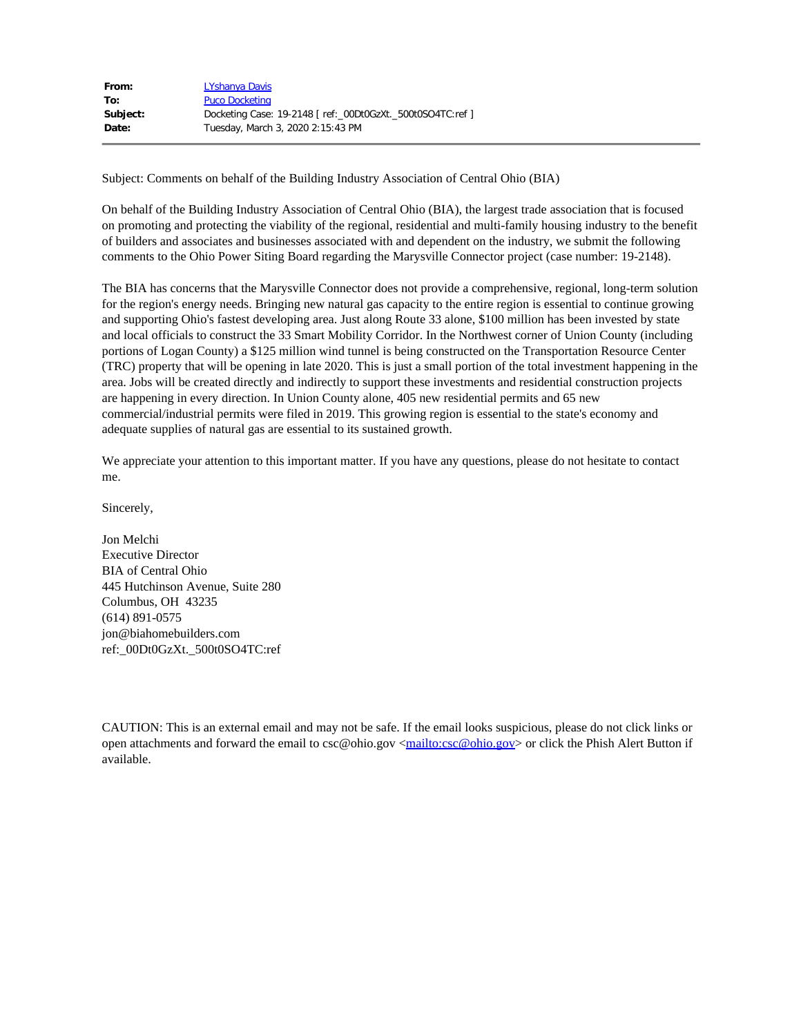| From:    | LYshanya Davis                                             |
|----------|------------------------------------------------------------|
| To:      | <b>Puco Docketing</b>                                      |
| Subject: | Docketing Case: 19-2148 [ ref:_00Dt0GzXt._500t0SO4TC:ref ] |
| Date:    | Tuesday, March 3, 2020 2:15:43 PM                          |

Subject: Comments on behalf of the Building Industry Association of Central Ohio (BIA)

On behalf of the Building Industry Association of Central Ohio (BIA), the largest trade association that is focused on promoting and protecting the viability of the regional, residential and multi-family housing industry to the benefit of builders and associates and businesses associated with and dependent on the industry, we submit the following comments to the Ohio Power Siting Board regarding the Marysville Connector project (case number: 19-2148).

The BIA has concerns that the Marysville Connector does not provide a comprehensive, regional, long-term solution for the region's energy needs. Bringing new natural gas capacity to the entire region is essential to continue growing and supporting Ohio's fastest developing area. Just along Route 33 alone, \$100 million has been invested by state and local officials to construct the 33 Smart Mobility Corridor. In the Northwest corner of Union County (including portions of Logan County) a \$125 million wind tunnel is being constructed on the Transportation Resource Center (TRC) property that will be opening in late 2020. This is just a small portion of the total investment happening in the area. Jobs will be created directly and indirectly to support these investments and residential construction projects are happening in every direction. In Union County alone, 405 new residential permits and 65 new commercial/industrial permits were filed in 2019. This growing region is essential to the state's economy and adequate supplies of natural gas are essential to its sustained growth.

We appreciate your attention to this important matter. If you have any questions, please do not hesitate to contact me.

Sincerely,

Jon Melchi Executive Director BIA of Central Ohio 445 Hutchinson Avenue, Suite 280 Columbus, OH 43235 (614) 891-0575 jon@biahomebuilders.com ref:\_00Dt0GzXt.\_500t0SO4TC:ref

CAUTION: This is an external email and may not be safe. If the email looks suspicious, please do not click links or open attachments and forward the email to csc@ohio.gov [<mailto:csc@ohio.gov](mailto:csc@ohio.gov)> or click the Phish Alert Button if available.